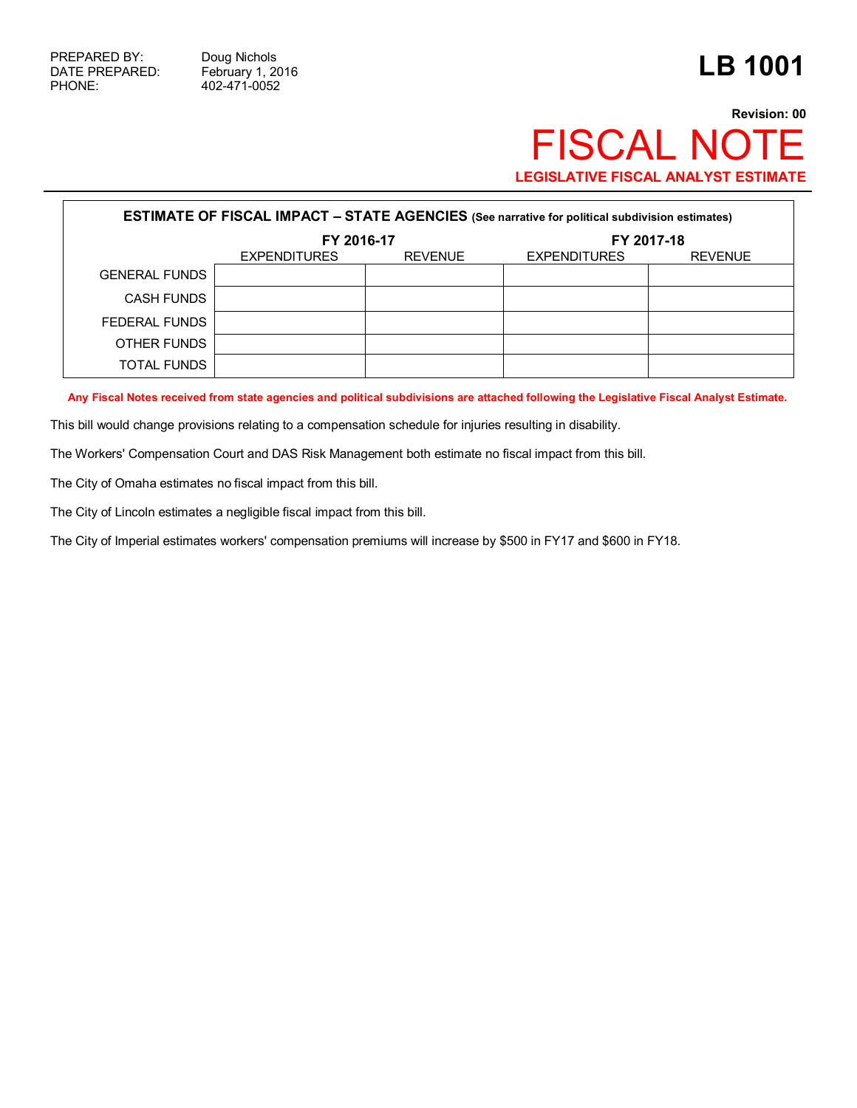PHONE: 402-471-0052

## **Revision: 00** FISCAL NOTE **LEGISLATIVE FISCAL ANALYST ESTIMATE**

| <b>ESTIMATE OF FISCAL IMPACT - STATE AGENCIES</b> (See narrative for political subdivision estimates) |                                       |  |                     |                |  |  |
|-------------------------------------------------------------------------------------------------------|---------------------------------------|--|---------------------|----------------|--|--|
|                                                                                                       | FY 2016-17                            |  |                     | FY 2017-18     |  |  |
|                                                                                                       | <b>REVENUE</b><br><b>EXPENDITURES</b> |  | <b>EXPENDITURES</b> | <b>REVENUE</b> |  |  |
| <b>GENERAL FUNDS</b>                                                                                  |                                       |  |                     |                |  |  |
| CASH FUNDS                                                                                            |                                       |  |                     |                |  |  |
| FEDERAL FUNDS                                                                                         |                                       |  |                     |                |  |  |
| OTHER FUNDS                                                                                           |                                       |  |                     |                |  |  |
| TOTAL FUNDS                                                                                           |                                       |  |                     |                |  |  |

**Any Fiscal Notes received from state agencies and political subdivisions are attached following the Legislative Fiscal Analyst Estimate.**

This bill would change provisions relating to a compensation schedule for injuries resulting in disability.

The Workers' Compensation Court and DAS Risk Management both estimate no fiscal impact from this bill.

The City of Omaha estimates no fiscal impact from this bill.

The City of Lincoln estimates a negligible fiscal impact from this bill.

The City of Imperial estimates workers' compensation premiums will increase by \$500 in FY17 and \$600 in FY18.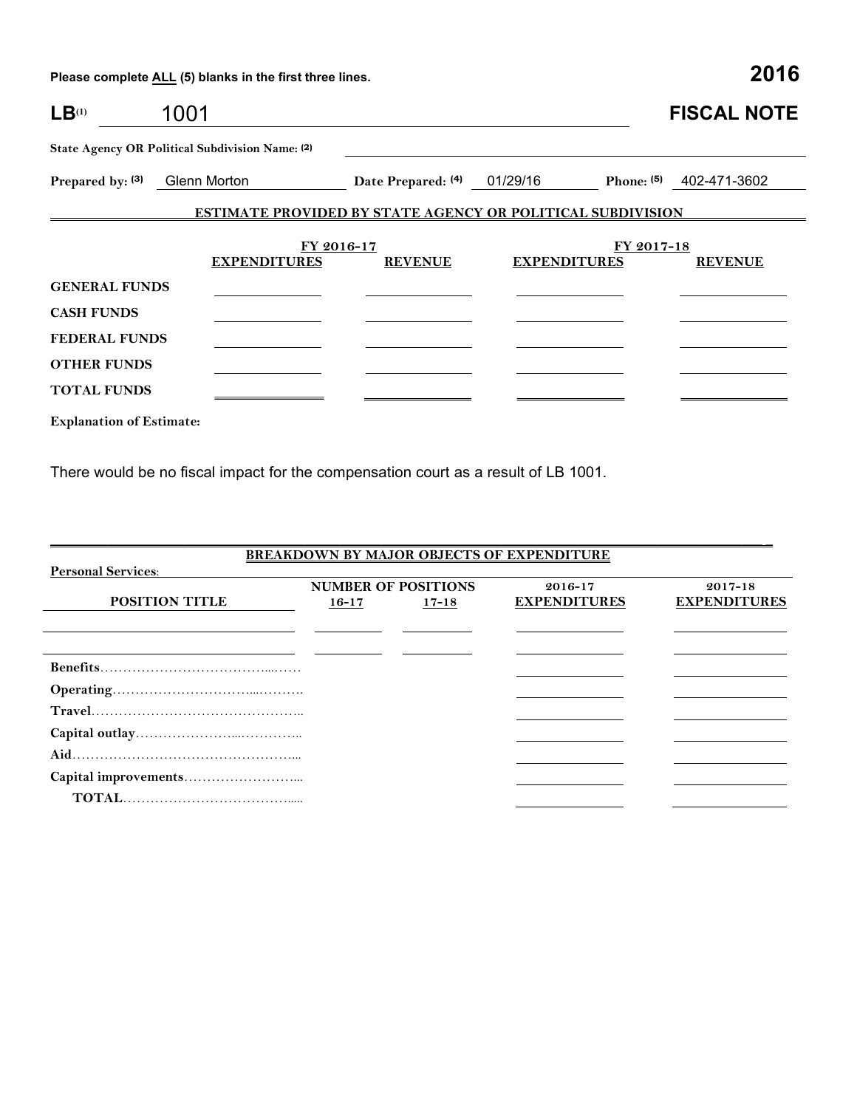| LB <sup>(1)</sup>    | 1001                                            |                    |                                                                   | <b>FISCAL NOTE</b>           |
|----------------------|-------------------------------------------------|--------------------|-------------------------------------------------------------------|------------------------------|
|                      | State Agency OR Political Subdivision Name: (2) |                    |                                                                   |                              |
| Prepared by: (3)     | Glenn Morton                                    | Date Prepared: (4) | 01/29/16                                                          | 402-471-3602<br>Phone: $(5)$ |
|                      |                                                 |                    | <b>ESTIMATE PROVIDED BY STATE AGENCY OR POLITICAL SUBDIVISION</b> |                              |
|                      |                                                 | FY 2016-17         |                                                                   | FY 2017-18                   |
|                      | <b>EXPENDITURES</b>                             | <b>REVENUE</b>     | <b>EXPENDITURES</b>                                               | <b>REVENUE</b>               |
| <b>GENERAL FUNDS</b> |                                                 |                    |                                                                   |                              |
| <b>CASH FUNDS</b>    |                                                 |                    |                                                                   |                              |
| <b>FEDERAL FUNDS</b> |                                                 |                    |                                                                   |                              |
| <b>OTHER FUNDS</b>   |                                                 |                    |                                                                   |                              |
| <b>TOTAL FUNDS</b>   |                                                 |                    |                                                                   |                              |
|                      |                                                 |                    |                                                                   |                              |

**Explanation of Estimate:**

There would be no fiscal impact for the compensation court as a result of LB 1001.

| <b>BREAKDOWN BY MAJOR OBJECTS OF EXPENDITURE</b> |           |                            |                     |                     |  |  |  |
|--------------------------------------------------|-----------|----------------------------|---------------------|---------------------|--|--|--|
| <b>Personal Services:</b>                        |           |                            |                     |                     |  |  |  |
|                                                  |           | <b>NUMBER OF POSITIONS</b> | 2016-17             | $2017 - 18$         |  |  |  |
| <b>POSITION TITLE</b>                            | $16 - 17$ | $17 - 18$                  | <b>EXPENDITURES</b> | <b>EXPENDITURES</b> |  |  |  |
|                                                  |           |                            |                     |                     |  |  |  |
|                                                  |           |                            |                     |                     |  |  |  |
|                                                  |           |                            |                     |                     |  |  |  |
|                                                  |           |                            |                     |                     |  |  |  |
|                                                  |           |                            |                     |                     |  |  |  |
|                                                  |           |                            |                     |                     |  |  |  |
|                                                  |           |                            |                     |                     |  |  |  |
|                                                  |           |                            |                     |                     |  |  |  |
|                                                  |           |                            |                     |                     |  |  |  |
|                                                  |           |                            |                     |                     |  |  |  |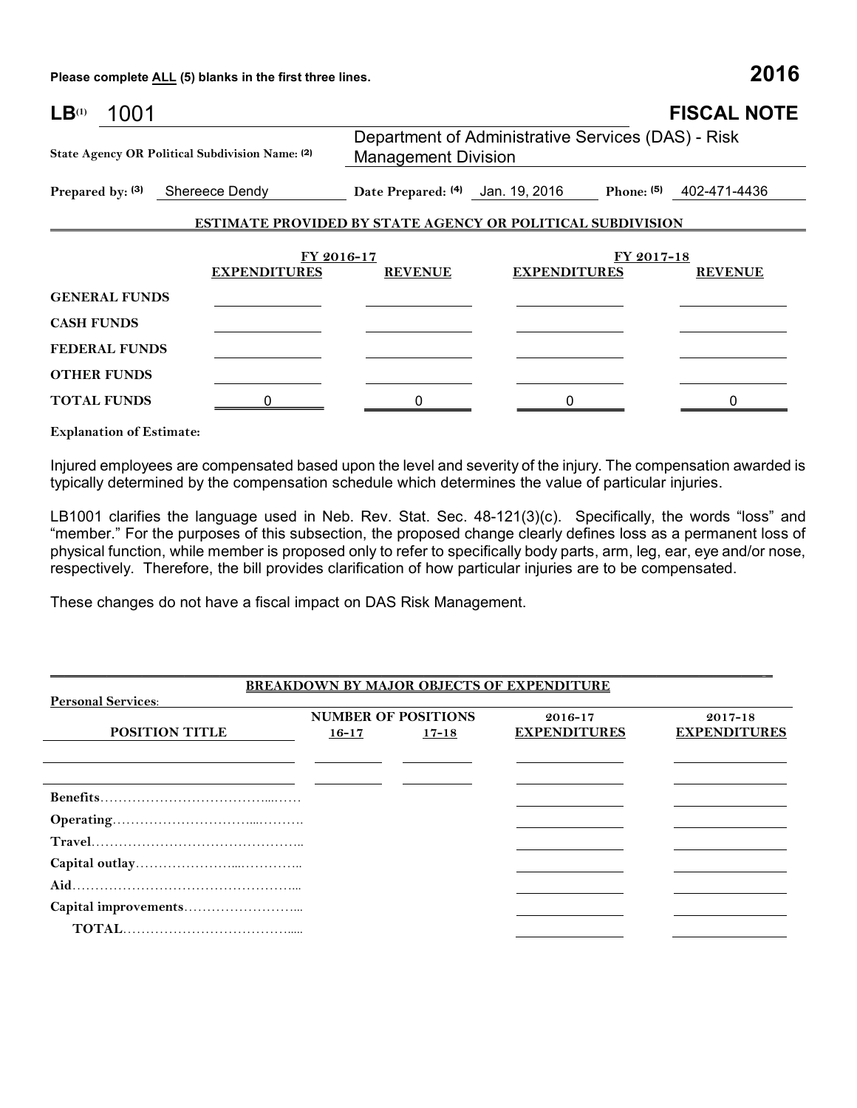| $LB^{(1)}$                                      | 1001 |  |                     |                                                                   |                                                                                  |            | <b>FISCAL NOTE</b> |  |  |
|-------------------------------------------------|------|--|---------------------|-------------------------------------------------------------------|----------------------------------------------------------------------------------|------------|--------------------|--|--|
| State Agency OR Political Subdivision Name: (2) |      |  |                     |                                                                   | Department of Administrative Services (DAS) - Risk<br><b>Management Division</b> |            |                    |  |  |
| Prepared by: (3) Shereece Dendy                 |      |  |                     |                                                                   | Date Prepared: (4) Jan. 19, 2016 Phone: (5) 402-471-4436                         |            |                    |  |  |
|                                                 |      |  |                     | <b>ESTIMATE PROVIDED BY STATE AGENCY OR POLITICAL SUBDIVISION</b> |                                                                                  |            |                    |  |  |
|                                                 |      |  | FY 2016-17          |                                                                   |                                                                                  | FY 2017-18 |                    |  |  |
|                                                 |      |  | <b>EXPENDITURES</b> | <b>REVENUE</b>                                                    | <b>EXPENDITURES</b>                                                              |            | <b>REVENUE</b>     |  |  |
| <b>GENERAL FUNDS</b>                            |      |  |                     |                                                                   |                                                                                  |            |                    |  |  |
| <b>CASH FUNDS</b>                               |      |  |                     |                                                                   |                                                                                  |            |                    |  |  |
| <b>FEDERAL FUNDS</b>                            |      |  |                     |                                                                   |                                                                                  |            |                    |  |  |
| <b>OTHER FUNDS</b>                              |      |  |                     |                                                                   |                                                                                  |            |                    |  |  |
| <b>TOTAL FUNDS</b>                              |      |  |                     |                                                                   |                                                                                  |            |                    |  |  |
| <b>Explanation of Estimate:</b>                 |      |  |                     |                                                                   |                                                                                  |            |                    |  |  |

Injured employees are compensated based upon the level and severity of the injury. The compensation awarded is typically determined by the compensation schedule which determines the value of particular injuries.

LB1001 clarifies the language used in Neb. Rev. Stat. Sec. 48-121(3)(c). Specifically, the words "loss" and "member." For the purposes of this subsection, the proposed change clearly defines loss as a permanent loss of physical function, while member is proposed only to refer to specifically body parts, arm, leg, ear, eye and/or nose, respectively. Therefore, the bill provides clarification of how particular injuries are to be compensated.

These changes do not have a fiscal impact on DAS Risk Management.

|                           |           |                            | <b>BREAKDOWN BY MAJOR OBJECTS OF EXPENDITURE</b> |                     |
|---------------------------|-----------|----------------------------|--------------------------------------------------|---------------------|
| <b>Personal Services:</b> |           |                            |                                                  |                     |
|                           |           | <b>NUMBER OF POSITIONS</b> | $2016 - 17$                                      | $2017 - 18$         |
| <b>POSITION TITLE</b>     | $16 - 17$ | $17 - 18$                  | <b>EXPENDITURES</b>                              | <b>EXPENDITURES</b> |
|                           |           |                            |                                                  |                     |
|                           |           |                            |                                                  |                     |
|                           |           |                            |                                                  |                     |
|                           |           |                            |                                                  |                     |
|                           |           |                            |                                                  |                     |
|                           |           |                            |                                                  |                     |
|                           |           |                            |                                                  |                     |
|                           |           |                            |                                                  |                     |
|                           |           |                            |                                                  |                     |
|                           |           |                            |                                                  |                     |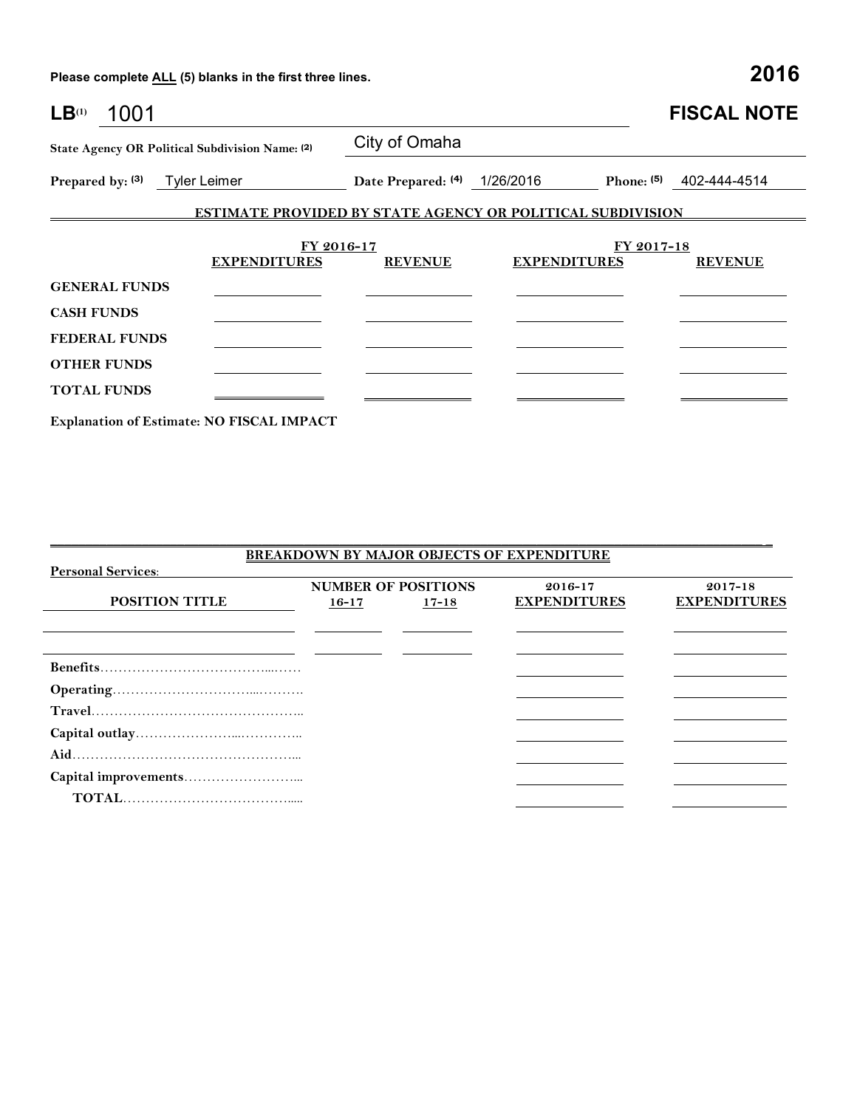| LB <sup>(1)</sup><br>1001                  |                                                                   |                              |                     |            | <b>FISCAL NOTE</b> |
|--------------------------------------------|-------------------------------------------------------------------|------------------------------|---------------------|------------|--------------------|
|                                            | State Agency OR Political Subdivision Name: (2)                   | City of Omaha                |                     |            |                    |
| Prepared by: (3) Tyler Leimer              |                                                                   | Date Prepared: (4) 1/26/2016 |                     | Phone: (5) | 402-444-4514       |
|                                            | <b>ESTIMATE PROVIDED BY STATE AGENCY OR POLITICAL SUBDIVISION</b> |                              |                     |            |                    |
|                                            | FY 2016-17<br><b>EXPENDITURES</b>                                 | <b>REVENUE</b>               | <b>EXPENDITURES</b> | FY 2017-18 | <b>REVENUE</b>     |
| <b>GENERAL FUNDS</b><br><b>CASH FUNDS</b>  |                                                                   |                              |                     |            |                    |
| <b>FEDERAL FUNDS</b><br><b>OTHER FUNDS</b> |                                                                   |                              |                     |            |                    |
| <b>TOTAL FUNDS</b>                         |                                                                   |                              |                     |            |                    |

**Explanation of Estimate: NO FISCAL IMPACT**

| <b>BREAKDOWN BY MAJOR OBJECTS OF EXPENDITURE</b> |           |                            |                     |                     |  |  |  |
|--------------------------------------------------|-----------|----------------------------|---------------------|---------------------|--|--|--|
| <b>Personal Services:</b>                        |           |                            |                     |                     |  |  |  |
|                                                  |           | <b>NUMBER OF POSITIONS</b> | 2016-17             | $2017 - 18$         |  |  |  |
| <b>POSITION TITLE</b>                            | $16 - 17$ | $17 - 18$                  | <b>EXPENDITURES</b> | <b>EXPENDITURES</b> |  |  |  |
|                                                  |           |                            |                     |                     |  |  |  |
|                                                  |           |                            |                     |                     |  |  |  |
|                                                  |           |                            |                     |                     |  |  |  |
|                                                  |           |                            |                     |                     |  |  |  |
|                                                  |           |                            |                     |                     |  |  |  |
|                                                  |           |                            |                     |                     |  |  |  |
|                                                  |           |                            |                     |                     |  |  |  |
|                                                  |           |                            |                     |                     |  |  |  |
|                                                  |           |                            |                     |                     |  |  |  |
|                                                  |           |                            |                     |                     |  |  |  |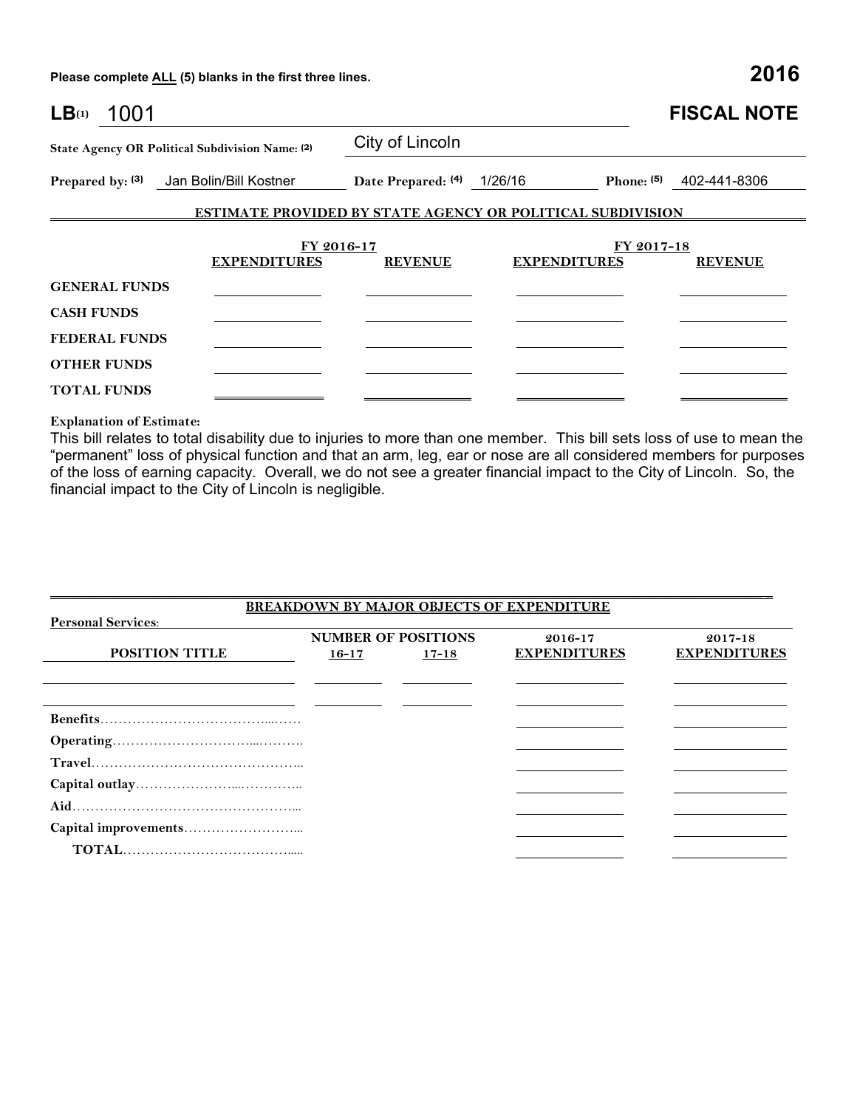| LB(1)<br>1001        |                                                                   |                              |                     |            | <b>FISCAL NOTE</b>      |
|----------------------|-------------------------------------------------------------------|------------------------------|---------------------|------------|-------------------------|
|                      | State Agency OR Political Subdivision Name: (2)                   | City of Lincoln              |                     |            |                         |
|                      | Prepared by: (3) Jan Bolin/Bill Kostner                           | Date Prepared: (4) 1/26/16   |                     |            | Phone: (5) 402-441-8306 |
|                      | <b>ESTIMATE PROVIDED BY STATE AGENCY OR POLITICAL SUBDIVISION</b> |                              |                     |            |                         |
|                      |                                                                   |                              |                     |            |                         |
|                      | <b>EXPENDITURES</b>                                               | FY 2016-17<br><b>REVENUE</b> | <b>EXPENDITURES</b> | FY 2017-18 | <b>REVENUE</b>          |
| <b>GENERAL FUNDS</b> |                                                                   |                              |                     |            |                         |
| <b>CASH FUNDS</b>    |                                                                   |                              |                     |            |                         |
| <b>FEDERAL FUNDS</b> |                                                                   |                              |                     |            |                         |
| <b>OTHER FUNDS</b>   |                                                                   |                              |                     |            |                         |
| <b>TOTAL FUNDS</b>   |                                                                   |                              |                     |            |                         |

**Explanation of Estimate:**

This bill relates to total disability due to injuries to more than one member. This bill sets loss of use to mean the "permanent" loss of physical function and that an arm, leg, ear or nose are all considered members for purposes of the loss of earning capacity. Overall, we do not see a greater financial impact to the City of Lincoln. So, the financial impact to the City of Lincoln is negligible.

|                           | <b>BREAKDOWN BY MAJOR OBJECTS OF EXPENDITURE</b> |                            |                     |                     |  |  |  |  |
|---------------------------|--------------------------------------------------|----------------------------|---------------------|---------------------|--|--|--|--|
| <b>Personal Services:</b> |                                                  |                            |                     |                     |  |  |  |  |
|                           |                                                  | <b>NUMBER OF POSITIONS</b> | 2016-17             | $2017 - 18$         |  |  |  |  |
| <b>POSITION TITLE</b>     | $16 - 17$                                        | $17 - 18$                  | <b>EXPENDITURES</b> | <b>EXPENDITURES</b> |  |  |  |  |
|                           |                                                  |                            |                     |                     |  |  |  |  |
|                           |                                                  |                            |                     |                     |  |  |  |  |
|                           |                                                  |                            |                     |                     |  |  |  |  |
|                           |                                                  |                            |                     |                     |  |  |  |  |
|                           |                                                  |                            |                     |                     |  |  |  |  |
|                           |                                                  |                            |                     |                     |  |  |  |  |
|                           |                                                  |                            |                     |                     |  |  |  |  |
|                           |                                                  |                            |                     |                     |  |  |  |  |
|                           |                                                  |                            |                     |                     |  |  |  |  |
|                           |                                                  |                            |                     |                     |  |  |  |  |